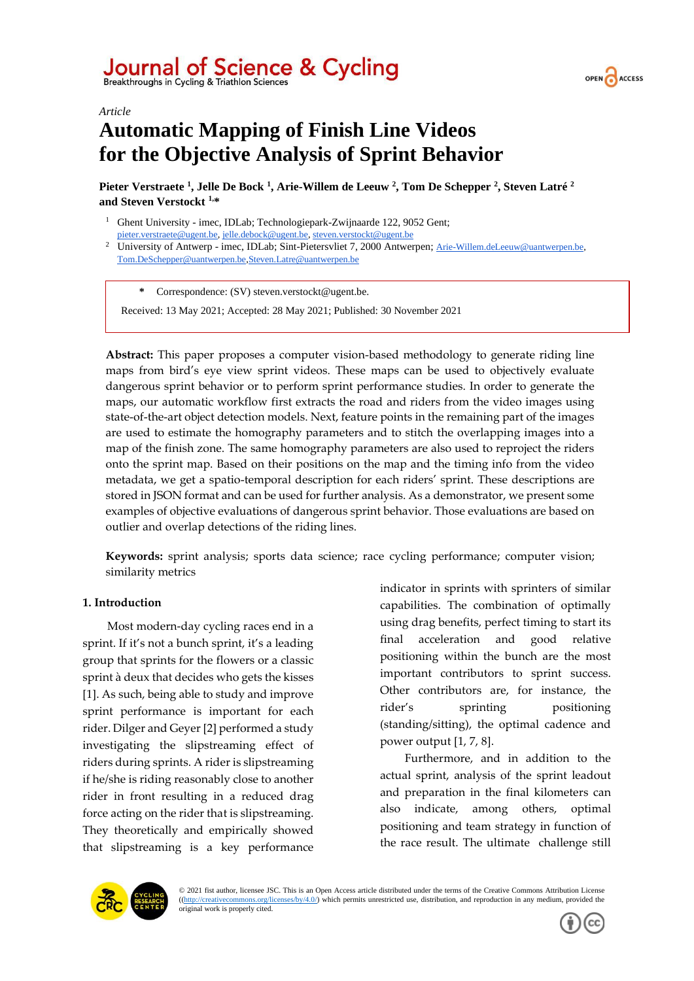



*Article*

# **Automatic Mapping of Finish Line Videos for the Objective Analysis of Sprint Behavior**

**Pieter Verstraete <sup>1</sup> , Jelle De Bock <sup>1</sup> , Arie-Willem de Leeuw <sup>2</sup> , Tom De Schepper <sup>2</sup> , Steven Latré <sup>2</sup> and Steven Verstockt 1,\***

- <sup>1</sup> Ghent University imec, IDLab; Technologiepark-Zwijnaarde 122, 9052 Gent; [pieter.verstraete@ugent.be,](mailto:pieter.verstraete@ugent.be) [jelle.debock@ugent.be,](mailto:jelle.debock@ugent.be) [steven.verstockt@ugent.be](mailto:steven.verstockt@ugent.be)
- <sup>2</sup> University of Antwerp imec, IDLab; Sint-Pietersvliet 7, 2000 Antwerpen; [Arie-Willem.deLeeuw@uantwerpen.be,](mailto:Arie-Willem.deLeeuw@uantwerpen.be)  Tom.DeSchepper@uantwerpen.b[e,Steven.Latre@uantwerpen.be](mailto:Steven.Latre@uantwerpen.be)

**\*** Correspondence: (SV) steven.verstockt@ugent.be.

Received: 13 May 2021; Accepted: 28 May 2021; Published: 30 November 2021

**Abstract:** This paper proposes a computer vision-based methodology to generate riding line maps from bird's eye view sprint videos. These maps can be used to objectively evaluate dangerous sprint behavior or to perform sprint performance studies. In order to generate the maps, our automatic workflow first extracts the road and riders from the video images using state-of-the-art object detection models. Next, feature points in the remaining part of the images are used to estimate the homography parameters and to stitch the overlapping images into a map of the finish zone. The same homography parameters are also used to reproject the riders onto the sprint map. Based on their positions on the map and the timing info from the video metadata, we get a spatio-temporal description for each riders' sprint. These descriptions are stored in JSON format and can be used for further analysis. As a demonstrator, we present some examples of objective evaluations of dangerous sprint behavior. Those evaluations are based on outlier and overlap detections of the riding lines.

**Keywords:** sprint analysis; sports data science; race cycling performance; computer vision; similarity metrics

# **1. Introduction**

Most modern-day cycling races end in a sprint. If it's not a bunch sprint, it's a leading group that sprints for the flowers or a classic sprint à deux that decides who gets the kisses [1]. As such, being able to study and improve sprint performance is important for each rider. Dilger and Geyer [2] performed a study investigating the slipstreaming effect of riders during sprints. A rider is slipstreaming if he/she is riding reasonably close to another rider in front resulting in a reduced drag force acting on the rider that is slipstreaming. They theoretically and empirically showed that slipstreaming is a key performance indicator in sprints with sprinters of similar capabilities. The combination of optimally using drag benefits, perfect timing to start its final acceleration and good relative positioning within the bunch are the most important contributors to sprint success. Other contributors are, for instance, the rider's sprinting positioning (standing/sitting), the optimal cadence and power output [1, 7, 8].

Furthermore, and in addition to the actual sprint, analysis of the sprint leadout and preparation in the final kilometers can also indicate, among others, optimal positioning and team strategy in function of the race result. The ultimate challenge still



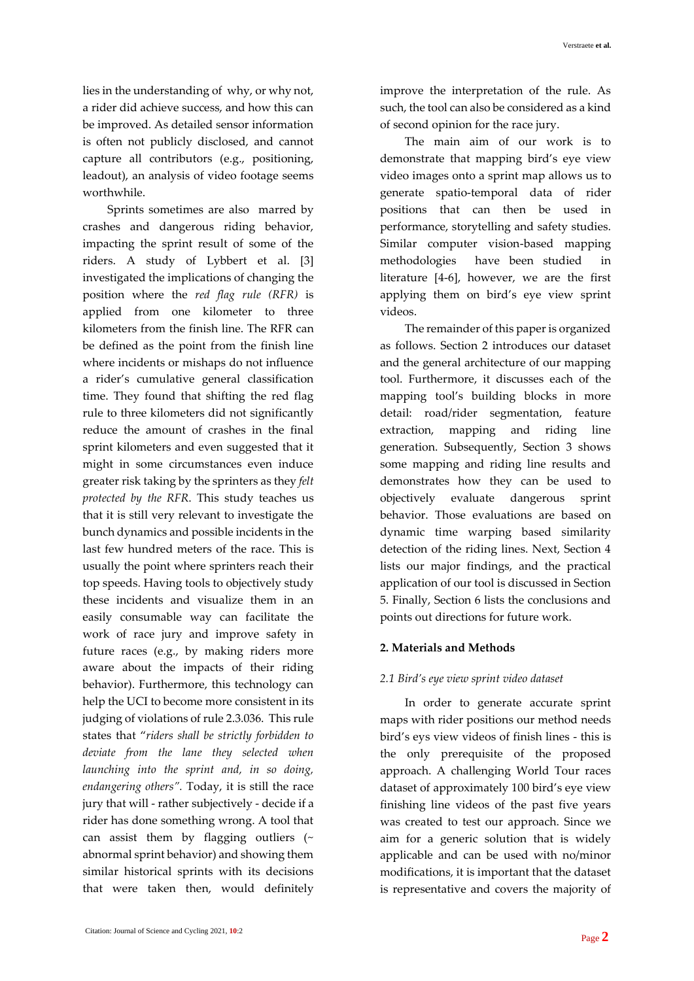lies in the understanding of why, or why not, a rider did achieve success, and how this can be improved. As detailed sensor information is often not publicly disclosed, and cannot capture all contributors (e.g., positioning, leadout), an analysis of video footage seems worthwhile.

Sprints sometimes are also marred by crashes and dangerous riding behavior, impacting the sprint result of some of the riders. A study of Lybbert et al. [3] investigated the implications of changing the position where the *red flag rule (RFR)* is applied from one kilometer to three kilometers from the finish line. The RFR can be defined as the point from the finish line where incidents or mishaps do not influence a rider's cumulative general classification time. They found that shifting the red flag rule to three kilometers did not significantly reduce the amount of crashes in the final sprint kilometers and even suggested that it might in some circumstances even induce greater risk taking by the sprinters as they *felt protected by the RFR*. This study teaches us that it is still very relevant to investigate the bunch dynamics and possible incidents in the last few hundred meters of the race. This is usually the point where sprinters reach their top speeds. Having tools to objectively study these incidents and visualize them in an easily consumable way can facilitate the work of race jury and improve safety in future races (e.g., by making riders more aware about the impacts of their riding behavior). Furthermore, this technology can help the UCI to become more consistent in its judging of violations of rule 2.3.036. This rule states that "*riders shall be strictly forbidden to deviate from the lane they selected when launching into the sprint and, in so doing, endangering others".* Today, it is still the race jury that will - rather subjectively - decide if a rider has done something wrong. A tool that can assist them by flagging outliers (~ abnormal sprint behavior) and showing them similar historical sprints with its decisions that were taken then, would definitely improve the interpretation of the rule. As such, the tool can also be considered as a kind of second opinion for the race jury.

The main aim of our work is to demonstrate that mapping bird's eye view video images onto a sprint map allows us to generate spatio-temporal data of rider positions that can then be used in performance, storytelling and safety studies. Similar computer vision-based mapping methodologies have been studied in literature [4-6], however, we are the first applying them on bird's eye view sprint videos.

The remainder of this paper is organized as follows. Section 2 introduces our dataset and the general architecture of our mapping tool. Furthermore, it discusses each of the mapping tool's building blocks in more detail: road/rider segmentation, feature extraction, mapping and riding line generation. Subsequently, Section 3 shows some mapping and riding line results and demonstrates how they can be used to objectively evaluate dangerous sprint behavior. Those evaluations are based on dynamic time warping based similarity detection of the riding lines. Next, Section 4 lists our major findings, and the practical application of our tool is discussed in Section 5. Finally, Section 6 lists the conclusions and points out directions for future work.

## **2. Materials and Methods**

# *2.1 Bird's eye view sprint video dataset*

In order to generate accurate sprint maps with rider positions our method needs bird's eys view videos of finish lines - this is the only prerequisite of the proposed approach. A challenging World Tour races dataset of approximately 100 bird's eye view finishing line videos of the past five years was created to test our approach. Since we aim for a generic solution that is widely applicable and can be used with no/minor modifications, it is important that the dataset is representative and covers the majority of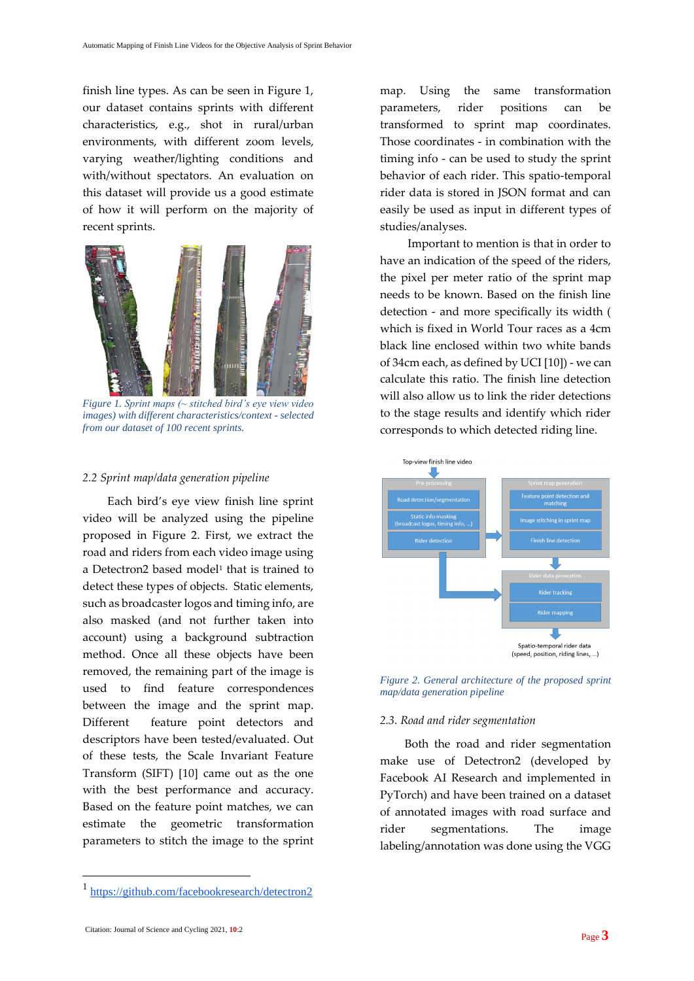finish line types. As can be seen in Figure 1, our dataset contains sprints with different characteristics, e.g., shot in rural/urban environments, with different zoom levels, varying weather/lighting conditions and with/without spectators. An evaluation on this dataset will provide us a good estimate of how it will perform on the majority of recent sprints.



*Figure 1. Sprint maps (~ stitched bird's eye view video images) with different characteristics/context - selected from our dataset of 100 recent sprints.*

## *2.2 Sprint map/data generation pipeline*

Each bird's eye view finish line sprint video will be analyzed using the pipeline proposed in Figure 2. First, we extract the road and riders from each video image using a Detectron2 based model<sup>1</sup> that is trained to detect these types of objects. Static elements, such as broadcaster logos and timing info, are also masked (and not further taken into account) using a background subtraction method. Once all these objects have been removed, the remaining part of the image is used to find feature correspondences between the image and the sprint map. Different feature point detectors and descriptors have been tested/evaluated. Out of these tests, the Scale Invariant Feature Transform (SIFT) [10] came out as the one with the best performance and accuracy. Based on the feature point matches, we can estimate the geometric transformation parameters to stitch the image to the sprint

map. Using the same transformation parameters, rider positions can be transformed to sprint map coordinates. Those coordinates - in combination with the timing info - can be used to study the sprint behavior of each rider. This spatio-temporal rider data is stored in JSON format and can easily be used as input in different types of studies/analyses.

Important to mention is that in order to have an indication of the speed of the riders, the pixel per meter ratio of the sprint map needs to be known. Based on the finish line detection - and more specifically its width ( which is fixed in World Tour races as a 4cm black line enclosed within two white bands of 34cm each, as defined by UCI [10]) - we can calculate this ratio. The finish line detection will also allow us to link the rider detections to the stage results and identify which rider corresponds to which detected riding line.





#### *2.3. Road and rider segmentation*

Both the road and rider segmentation make use of Detectron2 (developed by Facebook AI Research and implemented in PyTorch) and have been trained on a dataset of annotated images with road surface and rider segmentations. The image labeling/annotation was done using the VGG

<sup>1</sup> <https://github.com/facebookresearch/detectron2>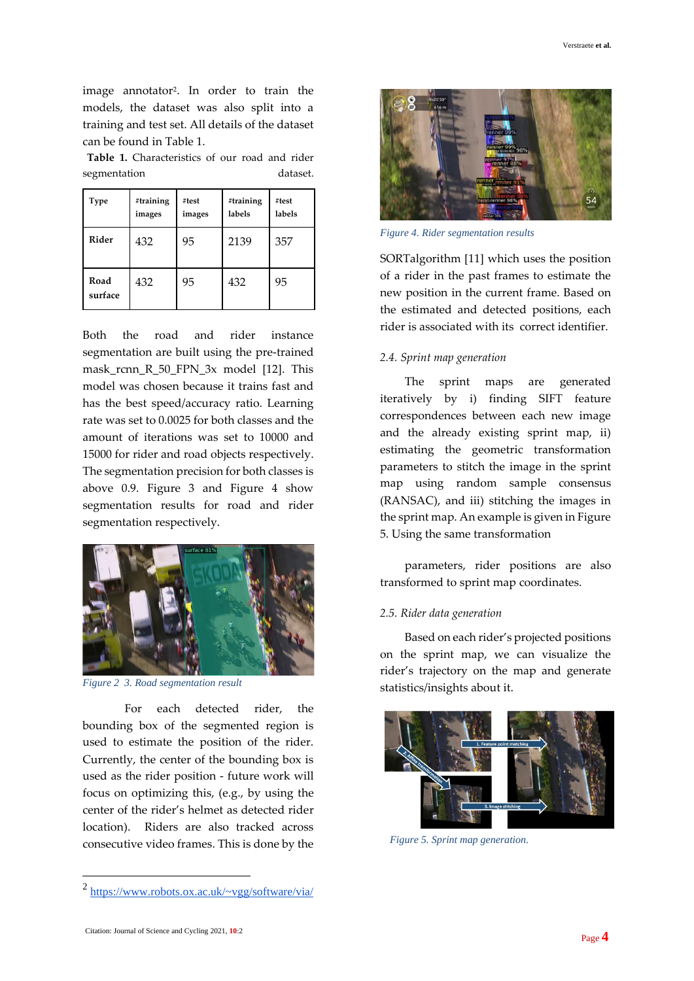image annotator<sup>2</sup> . In order to train the models, the dataset was also split into a training and test set. All details of the dataset can be found in Table 1.

**Table 1.** Characteristics of our road and rider segmentation dataset.

 $\overline{a}$ 

| <b>Type</b>                                     | #training<br>images | #test<br>images | #training<br>labels | #test<br>labels |
|-------------------------------------------------|---------------------|-----------------|---------------------|-----------------|
| Rider                                           | 432                 | 95              | 2139                | 357             |
| Road<br>surface                                 | 432                 | 95              | 432                 | 95              |
| Both<br>the<br>road<br>and<br>rider<br>instance |                     |                 |                     |                 |
| segmentation are built using the pre-trained    |                     |                 |                     |                 |
| mask renn R 50 FPN 3x model [12]<br>This        |                     |                 |                     |                 |

segmentation are built using the pre-trained  $3x$  model  $[12]$ . This model was chosen because it trains fast and has the best speed/accuracy ratio. Learning rate was set to 0.0025 for both classes and the amount of iterations was set to 10000 and 15000 for rider and road objects respectively. The segmentation precision for both classes is above 0.9. Figure 3 and Figure 4 show segmentation results for road and rider segmentation respectively.

> parameters, rider positions are also transformed to sprint map coordinates.

## *2.5. Rider data generation*

Based on each rider's projected positions on the sprint map, we can visualize the rider's trajectory on the map and generate statistics/insights about it.



*Figure 2 3. Road segmentation result* For each detected rider, the bounding box of the segmented region is

used to estimate the position of the rider. Currently, the center of the bounding box is used as the rider position - future work will focus on optimizing this, (e.g., by using the center of the rider's helmet as detected rider location). Riders are also tracked across consecutive video frames. This is done by the



*Figure 4. Rider segmentation results*

SORTalgorithm [11] which uses the position of a rider in the past frames to estimate the new position in the current frame. Based on the estimated and detected positions, each rider is associated with its correct identifier.

## *2.4. Sprint map generation*

The sprint maps are generated iteratively by i) finding SIFT feature correspondences between each new image and the already existing sprint map, ii) estimating the geometric transformation parameters to stitch the image in the sprint map using random sample consensus (RANSAC), and iii) stitching the images in the sprint map. An example is given in Figure 5. Using the same transformation



<sup>2</sup> <https://www.robots.ox.ac.uk/~vgg/software/via/>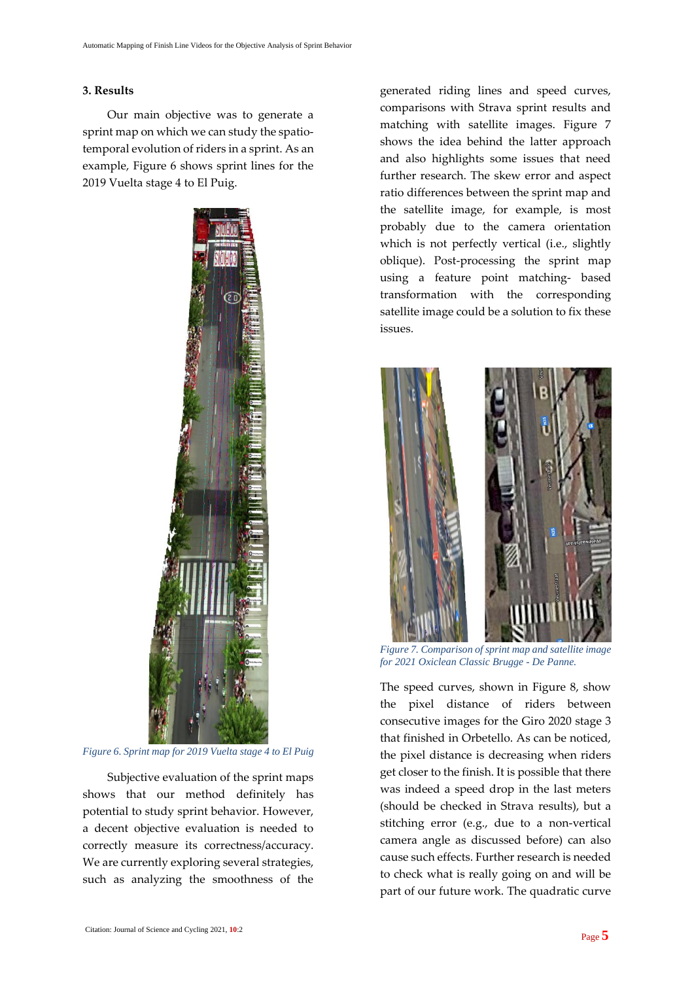#### **3. Results**

Our main objective was to generate a sprint map on which we can study the spatiotemporal evolution of riders in a sprint. As an example, Figure 6 shows sprint lines for the 2019 Vuelta stage 4 to El Puig.



*Figure 6. Sprint map for 2019 Vuelta stage 4 to El Puig*

Subjective evaluation of the sprint maps shows that our method definitely has potential to study sprint behavior. However, a decent objective evaluation is needed to correctly measure its correctness/accuracy. We are currently exploring several strategies, such as analyzing the smoothness of the

generated riding lines and speed curves, comparisons with Strava sprint results and matching with satellite images. Figure 7 shows the idea behind the latter approach and also highlights some issues that need further research. The skew error and aspect ratio differences between the sprint map and the satellite image, for example, is most probably due to the camera orientation which is not perfectly vertical (i.e., slightly oblique). Post-processing the sprint map using a feature point matching- based transformation with the corresponding satellite image could be a solution to fix these issues.



*Figure 7. Comparison of sprint map and satellite image for 2021 Oxiclean Classic Brugge - De Panne.*

The speed curves, shown in Figure 8, show the pixel distance of riders between consecutive images for the Giro 2020 stage 3 that finished in Orbetello. As can be noticed, the pixel distance is decreasing when riders get closer to the finish. It is possible that there was indeed a speed drop in the last meters (should be checked in Strava results), but a stitching error (e.g., due to a non-vertical camera angle as discussed before) can also cause such effects. Further research is needed to check what is really going on and will be part of our future work. The quadratic curve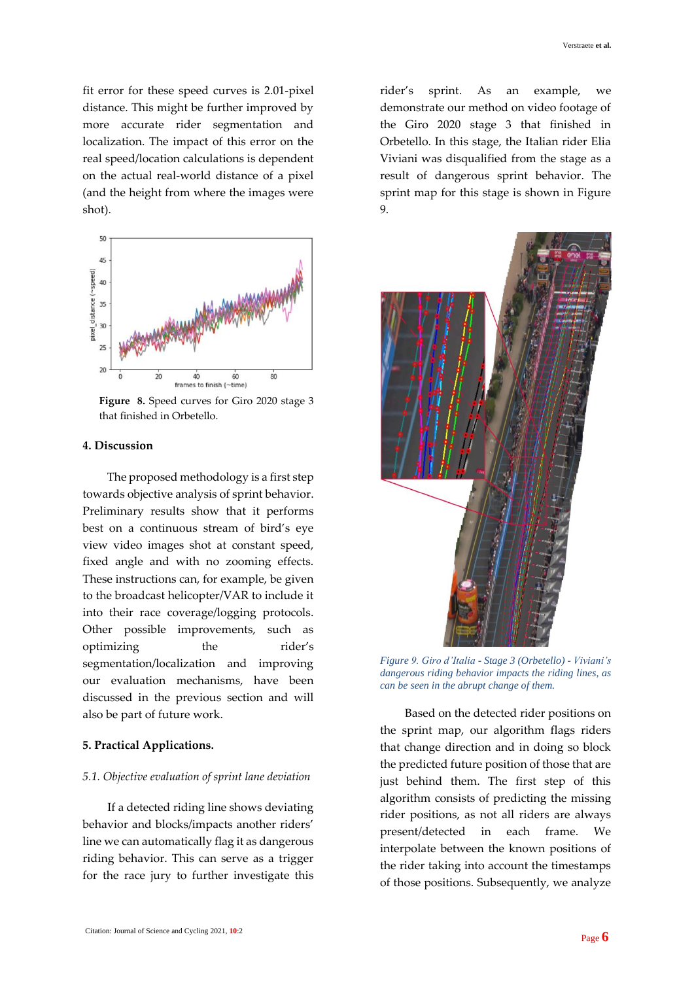fit error for these speed curves is 2.01-pixel distance. This might be further improved by more accurate rider segmentation and localization. The impact of this error on the real speed/location calculations is dependent on the actual real-world distance of a pixel (and the height from where the images were shot).



**Figure 8.** Speed curves for Giro 2020 stage 3 that finished in Orbetello.

## **4. Discussion**

The proposed methodology is a first step towards objective analysis of sprint behavior. Preliminary results show that it performs best on a continuous stream of bird's eye view video images shot at constant speed, fixed angle and with no zooming effects. These instructions can, for example, be given to the broadcast helicopter/VAR to include it into their race coverage/logging protocols. Other possible improvements, such as optimizing the rider's segmentation/localization and improving our evaluation mechanisms, have been discussed in the previous section and will also be part of future work.

## **5. Practical Applications.**

#### *5.1. Objective evaluation of sprint lane deviation*

If a detected riding line shows deviating behavior and blocks/impacts another riders' line we can automatically flag it as dangerous riding behavior. This can serve as a trigger for the race jury to further investigate this rider's sprint. As an example, we demonstrate our method on video footage of the Giro 2020 stage 3 that finished in Orbetello. In this stage, the Italian rider Elia Viviani was disqualified from the stage as a result of dangerous sprint behavior. The sprint map for this stage is shown in Figure 9.



*Figure 9. Giro d'Italia - Stage 3 (Orbetello) - Viviani's dangerous riding behavior impacts the riding lines, as can be seen in the abrupt change of them.*

Based on the detected rider positions on the sprint map, our algorithm flags riders that change direction and in doing so block the predicted future position of those that are just behind them. The first step of this algorithm consists of predicting the missing rider positions, as not all riders are always present/detected in each frame. We interpolate between the known positions of the rider taking into account the timestamps of those positions. Subsequently, we analyze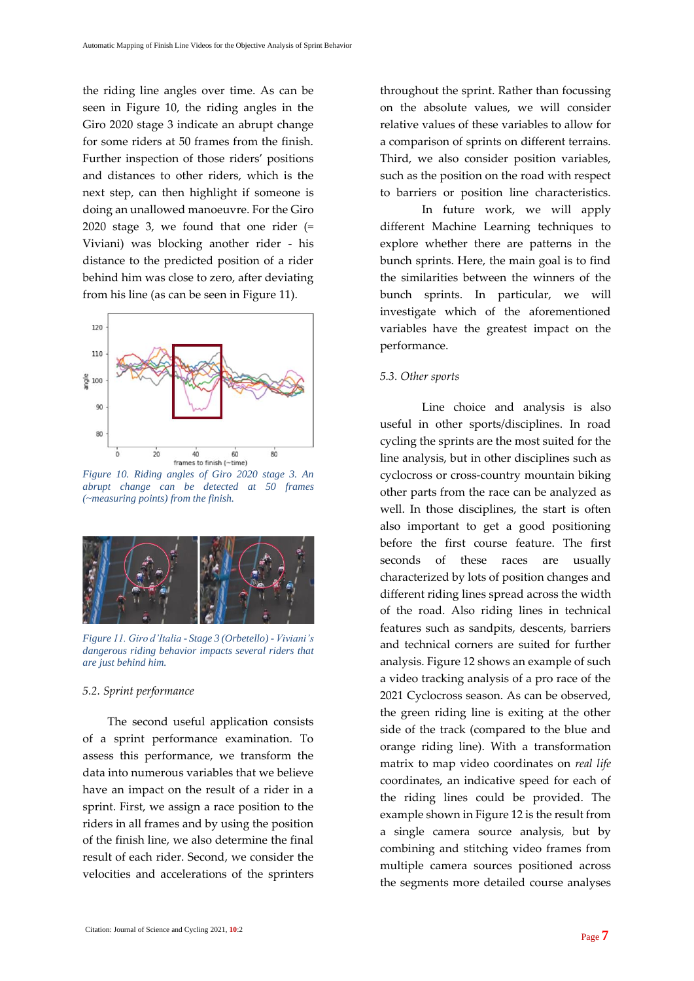the riding line angles over time. As can be seen in Figure 10, the riding angles in the Giro 2020 stage 3 indicate an abrupt change for some riders at 50 frames from the finish. Further inspection of those riders' positions and distances to other riders, which is the next step, can then highlight if someone is doing an unallowed manoeuvre. For the Giro 2020 stage 3, we found that one rider (= Viviani) was blocking another rider - his distance to the predicted position of a rider behind him was close to zero, after deviating from his line (as can be seen in Figure 11).



*Figure 10. Riding angles of Giro 2020 stage 3. An abrupt change can be detected at 50 frames (~measuring points) from the finish.*



*Figure 11. Giro d'Italia - Stage 3 (Orbetello) - Viviani's dangerous riding behavior impacts several riders that are just behind him.*

#### *5.2. Sprint performance*

The second useful application consists of a sprint performance examination. To assess this performance, we transform the data into numerous variables that we believe have an impact on the result of a rider in a sprint. First, we assign a race position to the riders in all frames and by using the position of the finish line, we also determine the final result of each rider. Second, we consider the velocities and accelerations of the sprinters throughout the sprint. Rather than focussing on the absolute values, we will consider relative values of these variables to allow for a comparison of sprints on different terrains. Third, we also consider position variables, such as the position on the road with respect to barriers or position line characteristics.

In future work, we will apply different Machine Learning techniques to explore whether there are patterns in the bunch sprints. Here, the main goal is to find the similarities between the winners of the bunch sprints. In particular, we will investigate which of the aforementioned variables have the greatest impact on the performance.

# *5.3. Other sports*

Line choice and analysis is also useful in other sports/disciplines. In road cycling the sprints are the most suited for the line analysis, but in other disciplines such as cyclocross or cross-country mountain biking other parts from the race can be analyzed as well. In those disciplines, the start is often also important to get a good positioning before the first course feature. The first seconds of these races are usually characterized by lots of position changes and different riding lines spread across the width of the road. Also riding lines in technical features such as sandpits, descents, barriers and technical corners are suited for further analysis. Figure 12 shows an example of such a video tracking analysis of a pro race of the 2021 Cyclocross season. As can be observed, the green riding line is exiting at the other side of the track (compared to the blue and orange riding line). With a transformation matrix to map video coordinates on *real life* coordinates, an indicative speed for each of the riding lines could be provided. The example shown in Figure 12 is the result from a single camera source analysis, but by combining and stitching video frames from multiple camera sources positioned across the segments more detailed course analyses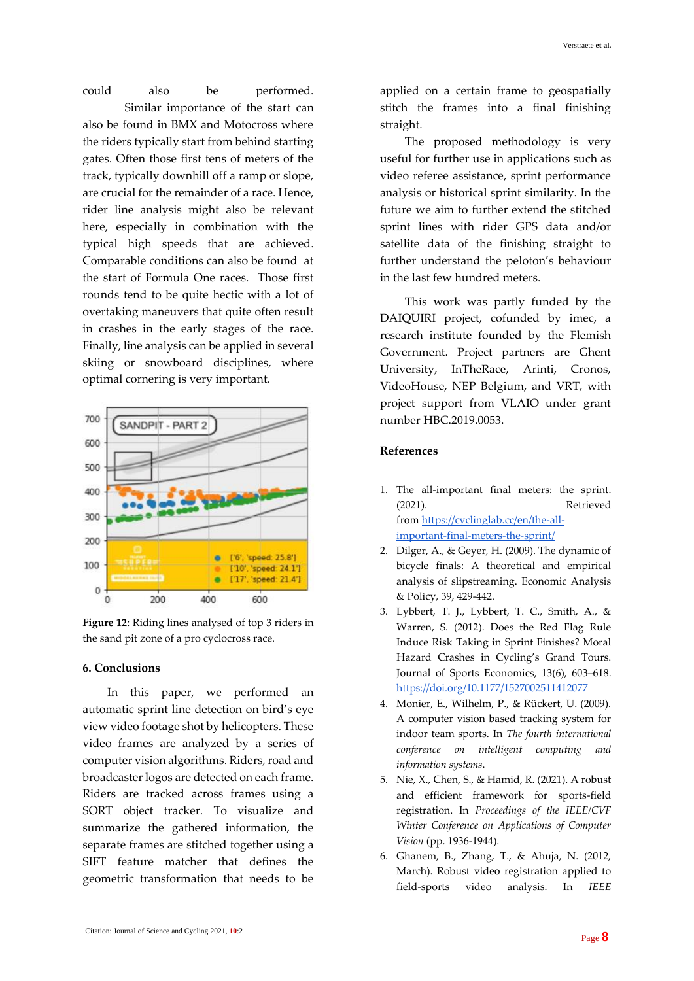could also be performed. Similar importance of the start can also be found in BMX and Motocross where the riders typically start from behind starting gates. Often those first tens of meters of the track, typically downhill off a ramp or slope, are crucial for the remainder of a race. Hence, rider line analysis might also be relevant here, especially in combination with the typical high speeds that are achieved. Comparable conditions can also be found at the start of Formula One races. Those first rounds tend to be quite hectic with a lot of overtaking maneuvers that quite often result in crashes in the early stages of the race. Finally, line analysis can be applied in several skiing or snowboard disciplines, where optimal cornering is very important.



**Figure 12**: Riding lines analysed of top 3 riders in the sand pit zone of a pro cyclocross race.

## **6. Conclusions**

In this paper, we performed an automatic sprint line detection on bird's eye view video footage shot by helicopters. These video frames are analyzed by a series of computer vision algorithms. Riders, road and broadcaster logos are detected on each frame. Riders are tracked across frames using a SORT object tracker. To visualize and summarize the gathered information, the separate frames are stitched together using a SIFT feature matcher that defines the geometric transformation that needs to be applied on a certain frame to geospatially stitch the frames into a final finishing straight.

The proposed methodology is very useful for further use in applications such as video referee assistance, sprint performance analysis or historical sprint similarity. In the future we aim to further extend the stitched sprint lines with rider GPS data and/or satellite data of the finishing straight to further understand the peloton's behaviour in the last few hundred meters.

This work was partly funded by the DAIQUIRI project, cofunded by imec, a research institute founded by the Flemish Government. Project partners are Ghent University, InTheRace, Arinti, Cronos, VideoHouse, NEP Belgium, and VRT, with project support from VLAIO under grant number HBC.2019.0053.

## **References**

- 1. The all-important final meters: the sprint. (2021). Retrieved from [https://cyclinglab.cc/en/the-all](https://cyclinglab.cc/en/the-all-important-final-meters-the-sprint/)[important-final-meters-the-sprint/](https://cyclinglab.cc/en/the-all-important-final-meters-the-sprint/)
- 2. Dilger, A., & Geyer, H. (2009). The dynamic of bicycle finals: A theoretical and empirical analysis of slipstreaming. Economic Analysis & Policy, 39, 429-442.
- 3. Lybbert, T. J., Lybbert, T. C., Smith, A., & Warren, S. (2012). Does the Red Flag Rule Induce Risk Taking in Sprint Finishes? Moral Hazard Crashes in Cycling's Grand Tours. Journal of Sports Economics, 13(6), 603–618. <https://doi.org/10.1177/1527002511412077>
- 4. Monier, E., Wilhelm, P., & Rückert, U. (2009). A computer vision based tracking system for indoor team sports. In *The fourth international conference on intelligent computing and information systems*.
- 5. Nie, X., Chen, S., & Hamid, R. (2021). A robust and efficient framework for sports-field registration. In *Proceedings of the IEEE/CVF Winter Conference on Applications of Computer Vision* (pp. 1936-1944).
- 6. Ghanem, B., Zhang, T., & Ahuja, N. (2012, March). Robust video registration applied to field-sports video analysis. In *IEEE*